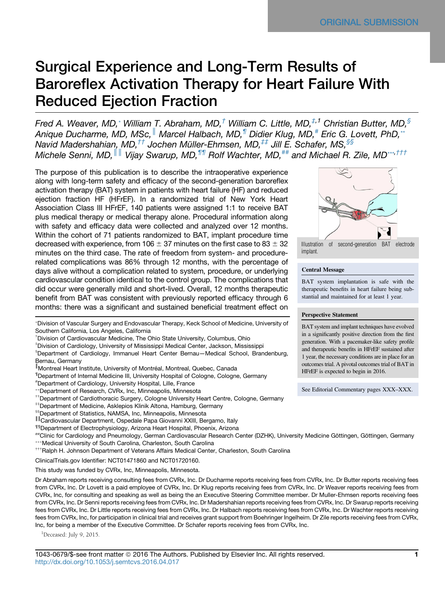# Surgical Experience and Long-Term Results of Baroreflex Activation Therapy for Heart Failure With Reduced Ejection Fraction

Fred A. Weaver, MD,\* William T. Abraham, MD,<sup>†</sup> William C. Little, MD,<sup>‡,1</sup> Christian Butter, MD,<sup>§</sup> Anique Ducharme, MD, MSc,  $\parallel$  Marcel Halbach, MD, $\parallel$  Didier Klug, MD, $\parallel$  Eric G. Lovett, PhD, $\parallel$ Navid Madershahian, MD, $^{\dagger \dagger}$  Jochen Müller-Ehmsen, MD, $^{\ddagger \ddagger}$  Jill E. Schafer, MS, $^{\S \S}$ Michele Senni, MD, $^{\| \, \|}$  Vijay Swarup, MD, $^{\P \}$  Rolf Wachter, MD, $^{\text{\#}\#}$  and Michael R. Zile, MD\*\*\*, $^{\text{\#}\uparrow\uparrow\uparrow}$ 

The purpose of this publication is to describe the intraoperative experience along with long-term safety and efficacy of the second-generation baroreflex activation therapy (BAT) system in patients with heart failure (HF) and reduced ejection fraction HF (HFrEF). In a randomized trial of New York Heart Association Class III HFrEF, 140 patients were assigned 1:1 to receive BAT plus medical therapy or medical therapy alone. Procedural information along with safety and efficacy data were collected and analyzed over 12 months. Within the cohort of 71 patients randomized to BAT, implant procedure time decreased with experience, from 106  $\pm$  37 minutes on the first case to 83  $\pm$  32 minutes on the third case. The rate of freedom from system- and procedurerelated complications was 86% through 12 months, with the percentage of days alive without a complication related to system, procedure, or underlying cardiovascular condition identical to the control group. The complications that did occur were generally mild and short-lived. Overall, 12 months therapeutic benefit from BAT was consistent with previously reported efficacy through 6 months: there was a significant and sustained beneficial treatment effect on

- † Division of Cardiovascular Medicine, The Ohio State University, Columbus, Ohio
- ‡ Division of Cardiology, University of Mississippi Medical Center, Jackson, Mississippi
- § Department of Cardiology, Immanuel Heart Center Bernau—Medical School, Brandenburg, Bernau, Germany
- ║ Montreal Heart Institute, University of Montréal, Montreal, Quebec, Canada
- ¶ Department of Internal Medicine III, University Hospital of Cologne, Cologne, Germany
- # Department of Cardiology, University Hospital, Lille, France
- \*\*Department of Research, CVRx, Inc, Minneapolis, Minnesota
- <sup>††</sup>Department of Cardiothoracic Surgery, Cologne University Heart Centre, Cologne, Germany
- ‡‡Department of Medicine, Asklepios Klinik Altona, Hamburg, Germany
- <sup>§§</sup>Department of Statistics, NAMSA, Inc, Minneapolis, Minnesota
- 
- III Cardiovascular Department, Ospedale Papa Giovanni XXIII, Bergamo, Italy<br><sup>¶¶</sup>Department of Electrophysiology, Arizona Heart Hospital, Phoenix, Arizona
- ##Clinic for Cardiology and Pneumology, German Cardiovascular Research Center (DZHK), University Medicine Göttingen, Göttingen, Germany
- 
- \*\*\*Medical University of South Carolina, Charleston, South Carolina<br><sup>†††</sup>Ralph H. Johnson Department of Veterans Affairs Medical Center, Charleston, South Carolina

ClinicalTrials.gov Identifier: NCT01471860 and NCT01720160.

This study was funded by CVRx, Inc, Minneapolis, Minnesota.

Dr Abraham reports receiving consulting fees from CVRx, Inc. Dr Ducharme reports receiving fees from CVRx, Inc. Dr Butter reports receiving fees from CVRx, Inc. Dr Lovett is a paid employee of CVRx, Inc. Dr Klug reports receiving fees from CVRx, Inc. Dr Weaver reports receiving fees from CVRx, Inc, for consulting and speaking as well as being the an Executive Steering Committee member. Dr Muller-Ehmsen reports receiving fees from CVRx, Inc. Dr Senni reports receiving fees from CVRx, Inc. Dr Madershahian reports receiving fees from CVRx, Inc. Dr Swarup reports receiving fees from CVRx, Inc. Dr Little reports receiving fees from CVRx, Inc. Dr Halbach reports receiving fees from CVRx, Inc. Dr Wachter reports receiving fees from CVRx, Inc, for participation in clinical trial and receives grant support from Boehringer Ingelheim. Dr Zile reports receiving fees from CVRx, Inc, for being a member of the Executive Committee. Dr Schafer reports receiving fees from CVRx, Inc.

<sup>1</sup>Deceased: July 9, 2015.



Illustration of second-generation BAT electrode implant.

#### Central Message

BAT system implantation is safe with the therapeutic benefits in heart failure being substantial and maintained for at least 1 year.

#### Perspective Statement

BAT system and implant techniques have evolved in a significantly positive direction from the first generation. With a pacemaker-like safety profile and therapeutic benefits in HFrEF sustained after 1 year, the necessary conditions are in place for an outcomes trial. A pivotal outcomes trial of BAT in HFrEF is expected to begin in 2016.

See Editorial Commentary pages XXX–XXX.

<sup>\*</sup>Division of Vascular Surgery and Endovascular Therapy, Keck School of Medicine, University of Southern California, Los Angeles, California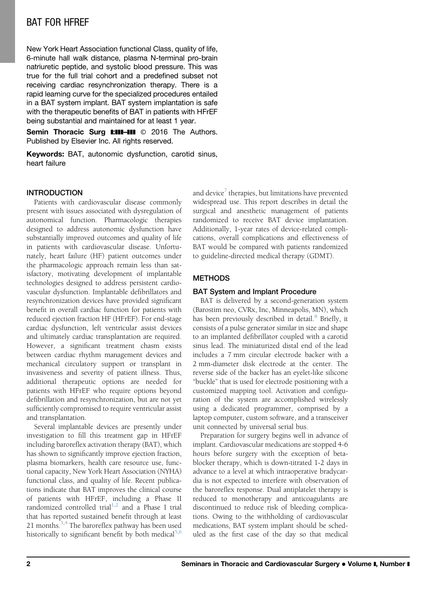# BAT FOR HFREF

New York Heart Association functional Class, quality of life, 6-minute hall walk distance, plasma N-terminal pro-brain natriuretic peptide, and systolic blood pressure. This was true for the full trial cohort and a predefined subset not receiving cardiac resynchronization therapy. There is a rapid learning curve for the specialized procedures entailed in a BAT system implant. BAT system implantation is safe with the therapeutic benefits of BAT in patients with HFrEF being substantial and maintained for at least 1 year.

Semin Thoracic Surg **I:III-III** © 2016 The Authors. Published by Elsevier Inc. All rights reserved.

Keywords: BAT, autonomic dysfunction, carotid sinus, heart failure

# INTRODUCTION

Patients with cardiovascular disease commonly present with issues associated with dysregulation of autonomical function. Pharmacologic therapies designed to address autonomic dysfunction have substantially improved outcomes and quality of life in patients with cardiovascular disease. Unfortunately, heart failure (HF) patient outcomes under the pharmacologic approach remain less than satisfactory, motivating development of implantable technologies designed to address persistent cardiovascular dysfunction. Implantable defibrillators and resynchronization devices have provided significant benefit in overall cardiac function for patients with reduced ejection fraction HF (HFrEF). For end-stage cardiac dysfunction, left ventricular assist devices and ultimately cardiac transplantation are required. However, a significant treatment chasm exists between cardiac rhythm management devices and mechanical circulatory support or transplant in invasiveness and severity of patient illness. Thus, additional therapeutic options are needed for patients with HFrEF who require options beyond defibrillation and resynchronization, but are not yet sufficiently compromised to require ventricular assist and transplantation.

Several implantable devices are presently under investigation to fill this treatment gap in HFrEF including baroreflex activation therapy (BAT), which has shown to significantly improve ejection fraction, plasma biomarkers, health care resource use, functional capacity, New York Heart Association (NYHA) functional class, and quality of life. Recent publications indicate that BAT improves the clinical course of patients with HFrEF, including a Phase II randomized controlled trial<sup>[1,2](#page-7-0)</sup> and a Phase I trial that has reported sustained benefit through at least 21 months. $3,4$  The baroreflex pathway has been used historically to significant benefit by both medical $5,6$  and device<sup>[7](#page-7-0)</sup> therapies, but limitations have prevented widespread use. This report describes in detail the surgical and anesthetic management of patients randomized to receive BAT device implantation. Additionally, 1-year rates of device-related complications, overall complications and effectiveness of BAT would be compared with patients randomized to guideline-directed medical therapy (GDMT).

# **METHODS**

#### BAT System and Implant Procedure

BAT is delivered by a second-generation system (Barostim neo, CVRx, Inc, Minneapolis, MN), which has been previously described in detail.<sup>[8](#page-7-0)</sup> Briefly, it consists of a pulse generator similar in size and shape to an implanted defibrillator coupled with a carotid sinus lead. The miniaturized distal end of the lead includes a 7 mm circular electrode backer with a 2 mm-diameter disk electrode at the center. The reverse side of the backer has an eyelet-like silicone "buckle" that is used for electrode positioning with a customized mapping tool. Activation and configuration of the system are accomplished wirelessly using a dedicated programmer, comprised by a laptop computer, custom software, and a transceiver unit connected by universal serial bus.

Preparation for surgery begins well in advance of implant. Cardiovascular medications are stopped 4-6 hours before surgery with the exception of betablocker therapy, which is down-titrated 1-2 days in advance to a level at which intraoperative bradycardia is not expected to interfere with observation of the baroreflex response. Dual antiplatelet therapy is reduced to monotherapy and anticoagulants are discontinued to reduce risk of bleeding complications. Owing to the withholding of cardiovascular medications, BAT system implant should be scheduled as the first case of the day so that medical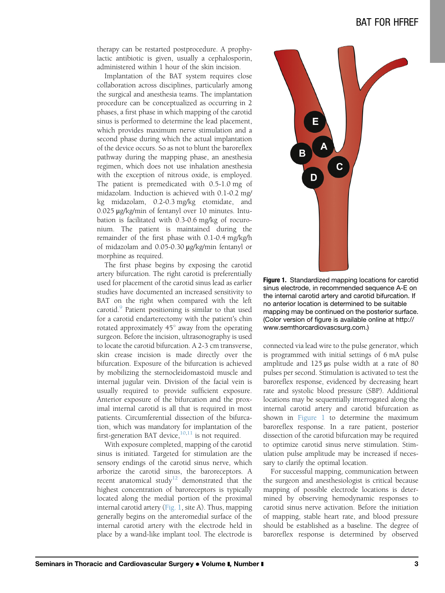therapy can be restarted postprocedure. A prophylactic antibiotic is given, usually a cephalosporin, administered within 1 hour of the skin incision.

Implantation of the BAT system requires close collaboration across disciplines, particularly among the surgical and anesthesia teams. The implantation procedure can be conceptualized as occurring in 2 phases, a first phase in which mapping of the carotid sinus is performed to determine the lead placement, which provides maximum nerve stimulation and a second phase during which the actual implantation of the device occurs. So as not to blunt the baroreflex pathway during the mapping phase, an anesthesia regimen, which does not use inhalation anesthesia with the exception of nitrous oxide, is employed. The patient is premedicated with 0.5-1.0 mg of midazolam. Induction is achieved with 0.1-0.2 mg/ kg midazolam, 0.2-0.3 mg/kg etomidate, and 0.025 μg/kg/min of fentanyl over 10 minutes. Intubation is facilitated with 0.3-0.6 mg/kg of rocuronium. The patient is maintained during the remainder of the first phase with 0.1-0.4 mg/kg/h of midazolam and 0.05-0.30 μg/kg/min fentanyl or morphine as required.

The first phase begins by exposing the carotid artery bifurcation. The right carotid is preferentially used for placement of the carotid sinus lead as earlier studies have documented an increased sensitivity to BAT on the right when compared with the left carotid.<sup>[9](#page-7-0)</sup> Patient positioning is similar to that used for a carotid endarterectomy with the patient's chin rotated approximately  $45^\circ$  away from the operating surgeon. Before the incision, ultrasonography is used to locate the carotid bifurcation. A 2-3 cm transverse, skin crease incision is made directly over the bifurcation. Exposure of the bifurcation is achieved by mobilizing the sternocleidomastoid muscle and internal jugular vein. Division of the facial vein is usually required to provide sufficient exposure. Anterior exposure of the bifurcation and the proximal internal carotid is all that is required in most patients. Circumferential dissection of the bifurcation, which was mandatory for implantation of the first-generation BAT device, $10,11$  $10,11$  is not required.

With exposure completed, mapping of the carotid sinus is initiated. Targeted for stimulation are the sensory endings of the carotid sinus nerve, which arborize the carotid sinus, the baroreceptors. A recent anatomical study<sup>[12](#page-8-0)</sup> demonstrated that the highest concentration of baroreceptors is typically located along the medial portion of the proximal internal carotid artery (Fig. 1, site A). Thus, mapping generally begins on the anteromedial surface of the internal carotid artery with the electrode held in place by a wand-like implant tool. The electrode is



Figure 1. Standardized mapping locations for carotid sinus electrode, in recommended sequence A-E on the internal carotid artery and carotid bifurcation. If no anterior location is determined to be suitable mapping may be continued on the posterior surface. (Color version of figure is available online at http:// www.semthorcardiovascsurg.com.)

connected via lead wire to the pulse generator, which is programmed with initial settings of 6 mA pulse amplitude and 125 μs pulse width at a rate of 80 pulses per second. Stimulation is activated to test the baroreflex response, evidenced by decreasing heart rate and systolic blood pressure (SBP). Additional locations may be sequentially interrogated along the internal carotid artery and carotid bifurcation as shown in Figure 1 to determine the maximum baroreflex response. In a rare patient, posterior dissection of the carotid bifurcation may be required to optimize carotid sinus nerve stimulation. Stimulation pulse amplitude may be increased if necessary to clarify the optimal location.

For successful mapping, communication between the surgeon and anesthesiologist is critical because mapping of possible electrode locations is determined by observing hemodynamic responses to carotid sinus nerve activation. Before the initiation of mapping, stable heart rate, and blood pressure should be established as a baseline. The degree of baroreflex response is determined by observed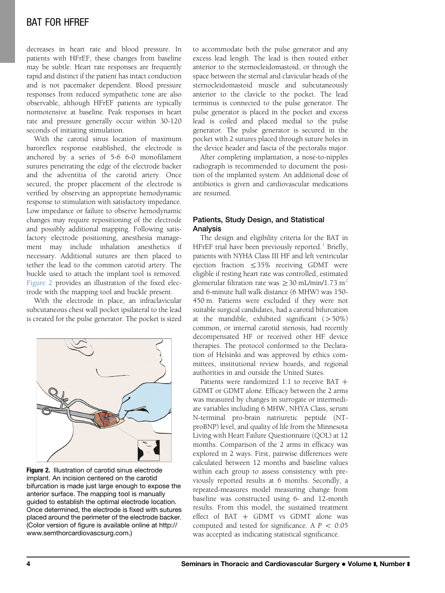decreases in heart rate and blood pressure. In patients with HFrEF, these changes from baseline may be subtle. Heart rate responses are frequently rapid and distinct if the patient has intact conduction and is not pacemaker dependent. Blood pressure responses from reduced sympathetic tone are also observable, although HFrEF patients are typically normotensive at baseline. Peak responses in heart rate and pressure generally occur within 30-120 seconds of initiating stimulation.

With the carotid sinus location of maximum baroreflex response established, the electrode is anchored by a series of 5-6 6-0 monofilament sutures penetrating the edge of the electrode backer and the adventitia of the carotid artery. Once secured, the proper placement of the electrode is verified by observing an appropriate hemodynamic response to stimulation with satisfactory impedance. Low impedance or failure to observe hemodynamic changes may require repositioning of the electrode and possibly additional mapping. Following satisfactory electrode positioning, anesthesia management may include inhalation anesthetics if necessary. Additional sutures are then placed to tether the lead to the common carotid artery. The buckle used to attach the implant tool is removed. Figure 2 provides an illustration of the fixed electrode with the mapping tool and buckle present.

With the electrode in place, an infraclavicular subcutaneous chest wall pocket ipsilateral to the lead is created for the pulse generator. The pocket is sized



Figure 2. Illustration of carotid sinus electrode implant. An incision centered on the carotid bifurcation is made just large enough to expose the anterior surface. The mapping tool is manually guided to establish the optimal electrode location. Once determined, the electrode is fixed with sutures placed around the perimeter of the electrode backer. (Color version of figure is available online at http:// www.semthorcardiovascsurg.com.)

to accommodate both the pulse generator and any excess lead length. The lead is then routed either anterior to the sternocleidomastoid, or through the space between the sternal and clavicular heads of the sternocleidomastoid muscle and subcutaneously anterior to the clavicle to the pocket. The lead terminus is connected to the pulse generator. The pulse generator is placed in the pocket and excess lead is coiled and placed medial to the pulse generator. The pulse generator is secured in the pocket with 2 sutures placed through suture holes in the device header and fascia of the pectoralis major.

After completing implantation, a nose-to-nipples radiograph is recommended to document the position of the implanted system. An additional dose of antibiotics is given and cardiovascular medications are resumed.

# Patients, Study Design, and Statistical Analysis

The design and eligibility criteria for the BAT in HFrEF trial have been previously reported.<sup>[1](#page-7-0)</sup> Briefly, patients with NYHA Class III HF and left ventricular ejection fraction  $\leq 35\%$  receiving GDMT were eligible if resting heart rate was controlled, estimated glomerular filtration rate was  $\geq$  30 mL/min/1.73 m<sup>[2](#page-7-0)</sup> and 6-minute hall walk distance (6 MHW) was 150- 450 m. Patients were excluded if they were not suitable surgical candidates, had a carotid bifurcation at the mandible, exhibited significant  $(50\%)$ common, or internal carotid stenosis, had recently decompensated HF or received other HF device therapies. The protocol conformed to the Declaration of Helsinki and was approved by ethics committees, institutional review boards, and regional authorities in and outside the United States.

Patients were randomized 1:1 to receive BAT  $+$ GDMT or GDMT alone. Efficacy between the 2 arms was measured by changes in surrogate or intermediate variables including 6 MHW, NHYA Class, serum N-terminal pro-brain natriuretic peptide (NTproBNP) level, and quality of life from the Minnesota Living with Heart Failure Questionnaire (QOL) at 12 months. Comparison of the 2 arms in efficacy was explored in 2 ways. First, pairwise differences were calculated between 12 months and baseline values within each group to assess consistency with previously reported results at 6 months. Secondly, a repeated-measures model measuring change from baseline was constructed using 6- and 12-month results. From this model, the sustained treatment effect of  $BAT + GDMT$  vs  $GDMT$  alone was computed and tested for significance. A  $P < 0.05$ was accepted as indicating statistical significance.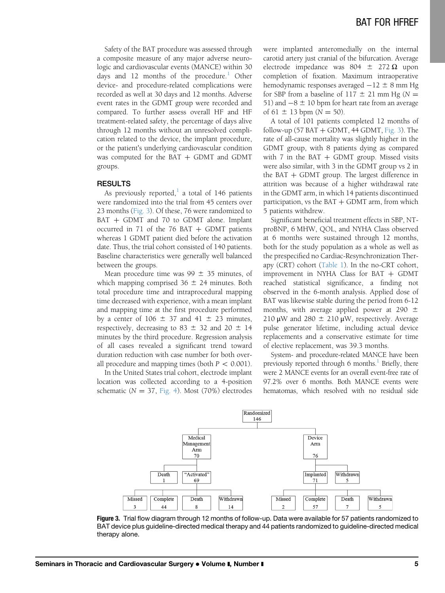Safety of the BAT procedure was assessed through a composite measure of any major adverse neurologic and cardiovascular events (MANCE) within 30 days and [1](#page-7-0)2 months of the procedure.<sup>1</sup> Other device- and procedure-related complications were recorded as well at 30 days and 12 months. Adverse event rates in the GDMT group were recorded and compared. To further assess overall HF and HF treatment-related safety, the percentage of days alive through 12 months without an unresolved complication related to the device, the implant procedure, or the patient's underlying cardiovascular condition was computed for the BAT  $+$  GDMT and GDMT groups.

#### RESULTS

As previously reported, $\frac{1}{x}$  $\frac{1}{x}$  $\frac{1}{x}$  a total of 146 patients were randomized into the trial from 45 centers over 23 months (Fig. 3). Of these, 76 were randomized to  $BAT + GDMT$  and 70 to GDMT alone. Implant occurred in 71 of the 76 BAT  $+$  GDMT patients whereas 1 GDMT patient died before the activation date. Thus, the trial cohort consisted of 140 patients. Baseline characteristics were generally well balanced between the groups.

Mean procedure time was  $99 \pm 35$  minutes, of which mapping comprised  $36 \pm 24$  minutes. Both total procedure time and intraprocedural mapping time decreased with experience, with a mean implant and mapping time at the first procedure performed by a center of 106  $\pm$  37 and 41  $\pm$  23 minutes, respectively, decreasing to 83  $\pm$  32 and 20  $\pm$  14 minutes by the third procedure. Regression analysis of all cases revealed a significant trend toward duration reduction with case number for both overall procedure and mapping times (both  $P < 0.001$ ).

In the United States trial cohort, electrode implant location was collected according to a 4-position schematic ( $N = 37$ , [Fig. 4](#page-5-0)). Most (70%) electrodes were implanted anteromedially on the internal carotid artery just cranial of the bifurcation. Average electrode impedance was  $804 \pm 272 \Omega$  upon completion of fixation. Maximum intraoperative hemodynamic responses averaged  $-12 \pm 8$  mm Hg for SBP from a baseline of 117  $\pm$  21 mm Hg (N = 51) and  $-8 \pm 10$  bpm for heart rate from an average of  $61 \pm 13$  bpm  $(N = 50)$ .

A total of 101 patients completed 12 months of follow-up (57 BAT  $+$  GDMT, 44 GDMT, Fig. 3). The rate of all-cause mortality was slightly higher in the GDMT group, with 8 patients dying as compared with  $7$  in the BAT  $+$  GDMT group. Missed visits were also similar, with 3 in the GDMT group vs 2 in the BAT  $+$  GDMT group. The largest difference in attrition was because of a higher withdrawal rate in the GDMT arm, in which 14 patients discontinued participation, vs the  $BAT + GDMT$  arm, from which 5 patients withdrew.

Significant beneficial treatment effects in SBP, NTproBNP, 6 MHW, QOL, and NYHA Class observed at 6 months were sustained through 12 months, both for the study population as a whole as well as the prespecified no Cardiac-Resynchronization Therapy (CRT) cohort ([Table 1\)](#page-5-0). In the no-CRT cohort, improvement in NYHA Class for  $BAT + GDMT$ reached statistical significance, a finding not observed in the 6-month analysis. Applied dose of BAT was likewise stable during the period from 6-12 months, with average applied power at 290  $\pm$ 210  $\mu$ W and 280  $\pm$  210  $\mu$ W, respectively. Average pulse generator lifetime, including actual device replacements and a conservative estimate for time of elective replacement, was 39.3 months.

System- and procedure-related MANCE have been previously reported through 6 months. $<sup>1</sup>$  $<sup>1</sup>$  $<sup>1</sup>$  Briefly, there</sup> were 2 MANCE events for an overall event-free rate of 97.2% over 6 months. Both MANCE events were hematomas, which resolved with no residual side



Figure 3. Trial flow diagram through 12 months of follow-up. Data were available for 57 patients randomized to BAT device plus guideline-directed medical therapy and 44 patients randomized to guideline-directed medical therapy alone.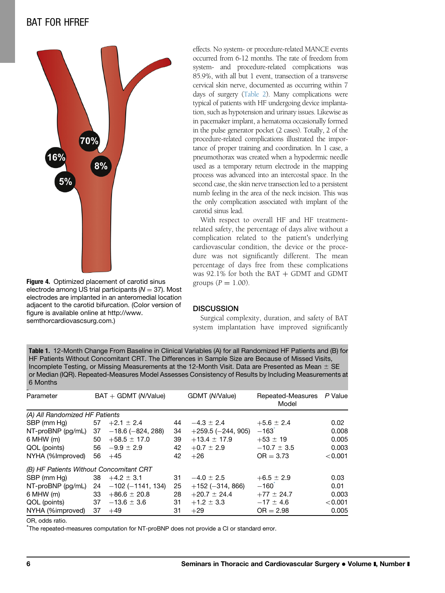<span id="page-5-0"></span>

Figure 4. Optimized placement of carotid sinus electrode among US trial participants ( $N = 37$ ). Most electrodes are implanted in an anteromedial location adjacent to the carotid bifurcation. (Color version of figure is available online at http://www. semthorcardiovascsurg.com.)

effects. No system- or procedure-related MANCE events occurred from 6-12 months. The rate of freedom from system- and procedure-related complications was 85.9%, with all but 1 event, transection of a transverse cervical skin nerve, documented as occurring within 7 days of surgery [\(Table 2](#page-6-0)). Many complications were typical of patients with HF undergoing device implantation, such as hypotension and urinary issues. Likewise as in pacemaker implant, a hematoma occasionally formed in the pulse generator pocket (2 cases). Totally, 2 of the procedure-related complications illustrated the importance of proper training and coordination. In 1 case, a pneumothorax was created when a hypodermic needle used as a temporary return electrode in the mapping process was advanced into an intercostal space. In the second case, the skin nerve transection led to a persistent numb feeling in the area of the neck incision. This was the only complication associated with implant of the carotid sinus lead.

With respect to overall HF and HF treatmentrelated safety, the percentage of days alive without a complication related to the patient's underlying cardiovascular condition, the device or the procedure was not significantly different. The mean percentage of days free from these complications was  $92.1\%$  for both the BAT + GDMT and GDMT groups  $(P = 1.00)$ .

# **DISCUSSION**

Surgical complexity, duration, and safety of BAT system implantation have improved significantly

Table 1. 12-Month Change From Baseline in Clinical Variables (A) for all Randomized HF Patients and (B) for HF Patients Without Concomitant CRT. The Differences in Sample Size are Because of Missed Visits, Incomplete Testing, or Missing Measurements at the 12-Month Visit. Data are Presented as Mean  $\pm$  SE or Median (IQR). Repeated-Measures Model Assesses Consistency of Results by Including Measurements at 6 Months

| Parameter                               |    | $BAT + GDMT (N/Value)$  |    | GDMT (N/Value)           | Repeated-Measures P Value<br>Model |         |
|-----------------------------------------|----|-------------------------|----|--------------------------|------------------------------------|---------|
| (A) All Randomized HF Patients          |    |                         |    |                          |                                    |         |
| SBP (mm Hg)                             | 57 | $+2.1 \pm 2.4$          | 44 | $-4.3 \pm 2.4$           | $+5.6 \pm 2.4$                     | 0.02    |
| NT-proBNP (pg/mL) 37                    |    | $-18.6(-824, 288)$      | 34 | $+259.5$ ( $-244$ , 905) | $-163$                             | 0.008   |
| $6$ MHW (m)                             | 50 | $+58.5 \pm 17.0$        | 39 | $+13.4 \pm 17.9$         | $+53 \pm 19$                       | 0.005   |
| QOL (points)                            |    | $56 -9.9 \pm 2.9$       | 42 | $+0.7 \pm 2.9$           | $-10.7 \pm 3.5$                    | 0.003   |
| NYHA (%Improved)                        | 56 | $+45$                   | 42 | $+26$                    | $OR = 3.73$                        | < 0.001 |
| (B) HF Patients Without Concomitant CRT |    |                         |    |                          |                                    |         |
| SBP (mm Hq)                             | 38 | $+4.2 \pm 3.1$          | 31 | $-4.0 \pm 2.5$           | $+6.5 \pm 2.9$                     | 0.03    |
| NT-proBNP (pg/mL)                       | 24 | $-102$ ( $-1141$ , 134) | 25 | $+152(-314, 866)$        | $-160$                             | 0.01    |
| $6$ MHW $(m)$                           | 33 | $+86.6 \pm 20.8$        | 28 | $+20.7 \pm 24.4$         | $+77 \pm 24.7$                     | 0.003   |
| QOL (points)                            | 37 | $-13.6 \pm 3.6$         | 31 | $+1.2 \pm 3.3$           | $-17 \pm 4.6$                      | < 0.001 |
| NYHA (%improved)                        | 37 | $+49$                   | 31 | $+29$                    | $OR = 2.98$                        | 0.005   |

OR, odds ratio.

\*The repeated-measures computation for NT-proBNP does not provide a CI or standard error.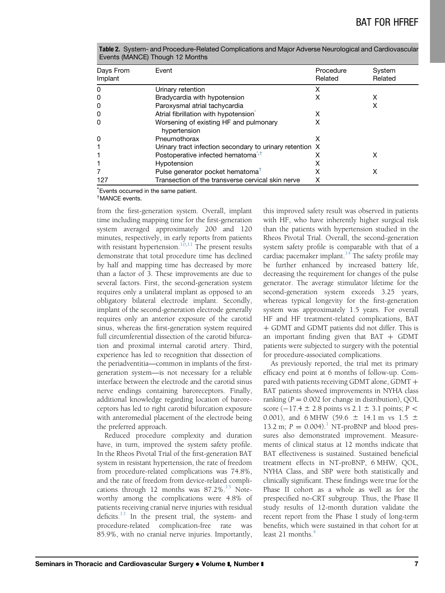| Days From | Event                                                    | Procedure | System  |
|-----------|----------------------------------------------------------|-----------|---------|
| Implant   |                                                          | Related   | Related |
| 0         | Urinary retention                                        | х         |         |
| 0         | Bradycardia with hypotension                             | x         | х       |
| 0         | Paroxysmal atrial tachycardia                            |           | х       |
| 0         | Atrial fibrillation with hypotension                     | x         |         |
| 0         | Worsening of existing HF and pulmonary<br>hypertension   | X         |         |
| 0         | Pneumothorax                                             | x         |         |
|           | Urinary tract infection secondary to urinary retention X |           |         |
|           | Postoperative infected hematoma <sup>*,†</sup>           |           | х       |
|           | Hypotension                                              |           |         |
|           | Pulse generator pocket hematoma <sup>T</sup>             | x         | х       |
| 127       | Transection of the transverse cervical skin nerve        | х         |         |

<span id="page-6-0"></span>Table 2. System- and Procedure-Related Complications and Major Adverse Neurological and Cardiovascular Events (MANCE) Though 12 Months

\*Events occurred in the same patient.

† MANCE events.

from the first-generation system. Overall, implant time including mapping time for the first-generation system averaged approximately 200 and 120 minutes, respectively, in early reports from patients with resistant hypertension.<sup>[10,](#page-7-0)[11](#page-8-0)</sup> The present results demonstrate that total procedure time has declined by half and mapping time has decreased by more than a factor of 3. These improvements are due to several factors. First, the second-generation system requires only a unilateral implant as opposed to an obligatory bilateral electrode implant. Secondly, implant of the second-generation electrode generally requires only an anterior exposure of the carotid sinus, whereas the first-generation system required full circumferential dissection of the carotid bifurcation and proximal internal carotid artery. Third, experience has led to recognition that dissection of the periadventitia—common in implants of the firstgeneration system—is not necessary for a reliable interface between the electrode and the carotid sinus nerve endings containing baroreceptors. Finally, additional knowledge regarding location of baroreceptors has led to right carotid bifurcation exposure with anteromedial placement of the electrode being the preferred approach.

Reduced procedure complexity and duration have, in turn, improved the system safety profile. In the Rheos Pivotal Trial of the first-generation BAT system in resistant hypertension, the rate of freedom from procedure-related complications was 74.8%, and the rate of freedom from device-related complications through 12 months was  $87.2\%$ .<sup>[13](#page-8-0)</sup> Noteworthy among the complications were 4.8% of patients receiving cranial nerve injuries with residual deficits. $13$  In the present trial, the system- and procedure-related complication-free rate was 85.9%, with no cranial nerve injuries. Importantly,

this improved safety result was observed in patients with HF, who have inherently higher surgical risk than the patients with hypertension studied in the Rheos Pivotal Trial. Overall, the second-generation system safety profile is comparable with that of a cardiac pacemaker implant. $14$  The safety profile may be further enhanced by increased battery life, decreasing the requirement for changes of the pulse generator. The average stimulator lifetime for the second-generation system exceeds 3.25 years, whereas typical longevity for the first-generation system was approximately 1.5 years. For overall HF and HF treatment-related complications, BAT þ GDMT and GDMT patients did not differ. This is an important finding given that  $BAT + GDMT$ patients were subjected to surgery with the potential for procedure-associated complications.

As previously reported, the trial met its primary efficacy end point at 6 months of follow-up. Compared with patients receiving GDMT alone, GDMT  $+$ BAT patients showed improvements in NYHA class ranking ( $P = 0.002$  for change in distribution), QOL score  $(-17.4 \pm 2.8 \text{ points vs } 2.1 \pm 3.1 \text{ points}; P <$ 0.001), and 6 MHW (59.6  $\pm$  14.1 m vs 1.5  $\pm$ [1](#page-7-0)3.2 m;  $P = 0.004$ .<sup>1</sup> NT-proBNP and blood pressures also demonstrated improvement. Measurements of clinical status at 12 months indicate that BAT effectiveness is sustained. Sustained beneficial treatment effects in NT-proBNP, 6 MHW, QOL, NYHA Class, and SBP were both statistically and clinically significant. These findings were true for the Phase II cohort as a whole as well as for the prespecified no-CRT subgroup. Thus, the Phase II study results of 12-month duration validate the recent report from the Phase I study of long-term benefits, which were sustained in that cohort for at least 21 months. $4$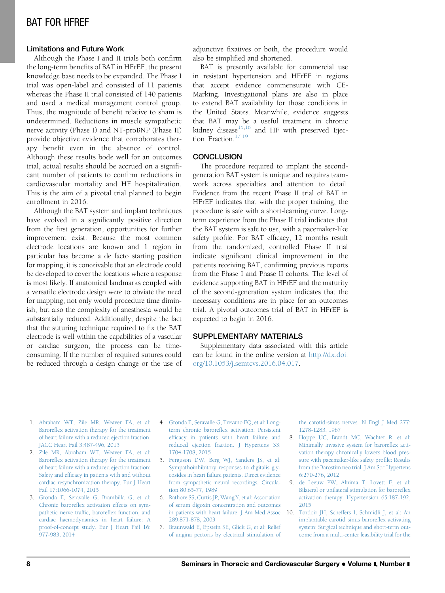# <span id="page-7-0"></span>Limitations and Future Work

Although the Phase I and II trials both confirm the long-term benefits of BAT in HFrEF, the present knowledge base needs to be expanded. The Phase I trial was open-label and consisted of 11 patients whereas the Phase II trial consisted of 140 patients and used a medical management control group. Thus, the magnitude of benefit relative to sham is undetermined. Reductions in muscle sympathetic nerve activity (Phase I) and NT-proBNP (Phase II) provide objective evidence that corroborates therapy benefit even in the absence of control. Although these results bode well for an outcomes trial, actual results should be accrued on a significant number of patients to confirm reductions in cardiovascular mortality and HF hospitalization. This is the aim of a pivotal trial planned to begin enrollment in 2016.

Although the BAT system and implant techniques have evolved in a significantly positive direction from the first generation, opportunities for further improvement exist. Because the most common electrode locations are known and 1 region in particular has become a de facto starting position for mapping, it is conceivable that an electrode could be developed to cover the locations where a response is most likely. If anatomical landmarks coupled with a versatile electrode design were to obviate the need for mapping, not only would procedure time diminish, but also the complexity of anesthesia would be substantially reduced. Additionally, despite the fact that the suturing technique required to fix the BAT electrode is well within the capabilities of a vascular or cardiac surgeon, the process can be timeconsuming. If the number of required sutures could be reduced through a design change or the use of adjunctive fixatives or both, the procedure would also be simplified and shortened.

BAT is presently available for commercial use in resistant hypertension and HFrEF in regions that accept evidence commensurate with CE-Marking. Investigational plans are also in place to extend BAT availability for those conditions in the United States. Meanwhile, evidence suggests that BAT may be a useful treatment in chronic kidney disease<sup>[15,16](#page-8-0)</sup> and HF with preserved Ejec-tion Fraction.<sup>[17-19](#page-8-0)</sup>

# **CONCLUSION**

The procedure required to implant the secondgeneration BAT system is unique and requires teamwork across specialties and attention to detail. Evidence from the recent Phase II trial of BAT in HFrEF indicates that with the proper training, the procedure is safe with a short-learning curve. Longterm experience from the Phase II trial indicates that the BAT system is safe to use, with a pacemaker-like safety profile. For BAT efficacy, 12 months result from the randomized, controlled Phase II trial indicate significant clinical improvement in the patients receiving BAT, confirming previous reports from the Phase I and Phase II cohorts. The level of evidence supporting BAT in HFrEF and the maturity of the second-generation system indicates that the necessary conditions are in place for an outcomes trial. A pivotal outcomes trial of BAT in HFrEF is expected to begin in 2016.

# SUPPLEMENTARY MATERIALS

Supplementary data associated with this article can be found in the online version at [http://dx.doi.](dx.doi.org/http://dx.doi.org/10.1053/j.semtcvs.2016.04.017) [org/10.1053/j.semtcvs.2016.04.017.](dx.doi.org/http://dx.doi.org/10.1053/j.semtcvs.2016.04.017)

- 1. [Abraham WT, Zile MR, Weaver FA, et al:](http://refhub.elsevier.com/S1043-0679(16)30045-4/sbref1) Barorefl[ex activation therapy for the treatment](http://refhub.elsevier.com/S1043-0679(16)30045-4/sbref1) [of heart failure with a reduced ejection fraction.](http://refhub.elsevier.com/S1043-0679(16)30045-4/sbref1) [JACC Heart Fail 3:487-496, 2015](http://refhub.elsevier.com/S1043-0679(16)30045-4/sbref1)
- 2. [Zile MR, Abraham WT, Weaver FA, et al:](http://refhub.elsevier.com/S1043-0679(16)30045-4/sbref2) Barorefl[ex activation therapy for the treatment](http://refhub.elsevier.com/S1043-0679(16)30045-4/sbref2) [of heart failure with a reduced ejection fraction:](http://refhub.elsevier.com/S1043-0679(16)30045-4/sbref2) Safety and effi[cacy in patients with and without](http://refhub.elsevier.com/S1043-0679(16)30045-4/sbref2) [cardiac resynchronization therapy. Eur J Heart](http://refhub.elsevier.com/S1043-0679(16)30045-4/sbref2) [Fail 17:1066-1074, 2015](http://refhub.elsevier.com/S1043-0679(16)30045-4/sbref2)
- 3. [Gronda E, Seravalle G, Brambilla G, et al:](http://refhub.elsevier.com/S1043-0679(16)30045-4/sbref3) Chronic barorefl[ex activation effects on sym](http://refhub.elsevier.com/S1043-0679(16)30045-4/sbref3)[pathetic nerve traf](http://refhub.elsevier.com/S1043-0679(16)30045-4/sbref3)fic, baroreflex function, and [cardiac haemodynamics in heart failure: A](http://refhub.elsevier.com/S1043-0679(16)30045-4/sbref3) [proof-of-concept study. Eur J Heart Fail 16:](http://refhub.elsevier.com/S1043-0679(16)30045-4/sbref3) [977-983, 2014](http://refhub.elsevier.com/S1043-0679(16)30045-4/sbref3)
- 4. [Gronda E, Seravalle G, Trevano FQ, et al: Long](http://refhub.elsevier.com/S1043-0679(16)30045-4/sbref4)term chronic barorefl[ex activation: Persistent](http://refhub.elsevier.com/S1043-0679(16)30045-4/sbref4) effi[cacy in patients with heart failure and](http://refhub.elsevier.com/S1043-0679(16)30045-4/sbref4) [reduced ejection fraction. J Hypertens 33:](http://refhub.elsevier.com/S1043-0679(16)30045-4/sbref4) [1704-1708, 2015](http://refhub.elsevier.com/S1043-0679(16)30045-4/sbref4)
- 5. [Ferguson DW, Berg WJ, Sanders JS, et al:](http://refhub.elsevier.com/S1043-0679(16)30045-4/sbref5) [Sympathoinhibitory responses to digitalis gly](http://refhub.elsevier.com/S1043-0679(16)30045-4/sbref5)[cosides in heart failure patients. Direct evidence](http://refhub.elsevier.com/S1043-0679(16)30045-4/sbref5) [from sympathetic neural recordings. Circula](http://refhub.elsevier.com/S1043-0679(16)30045-4/sbref5)[tion 80:65-77, 1989](http://refhub.elsevier.com/S1043-0679(16)30045-4/sbref5)
- 6. [Rathore SS, Curtis JP, Wang Y, et al: Association](http://refhub.elsevier.com/S1043-0679(16)30045-4/sbref6) [of serum digoxin concentration and outcomes](http://refhub.elsevier.com/S1043-0679(16)30045-4/sbref6) [in patients with heart failure. J Am Med Assoc](http://refhub.elsevier.com/S1043-0679(16)30045-4/sbref6) [289:871-878, 2003](http://refhub.elsevier.com/S1043-0679(16)30045-4/sbref6)
- 7. [Braunwald E, Epstein SE, Glick G, et al: Relief](http://refhub.elsevier.com/S1043-0679(16)30045-4/sbref7) [of angina pectoris by electrical stimulation of](http://refhub.elsevier.com/S1043-0679(16)30045-4/sbref7)

[the carotid-sinus nerves. N Engl J Med 277:](http://refhub.elsevier.com/S1043-0679(16)30045-4/sbref7) [1278-1283, 1967](http://refhub.elsevier.com/S1043-0679(16)30045-4/sbref7)

- 8. [Hoppe UC, Brandt MC, Wachter R, et al:](http://refhub.elsevier.com/S1043-0679(16)30045-4/sbref8) [Minimally invasive system for barore](http://refhub.elsevier.com/S1043-0679(16)30045-4/sbref8)flex acti[vation therapy chronically lowers blood pres](http://refhub.elsevier.com/S1043-0679(16)30045-4/sbref8)[sure with pacemaker-like safety pro](http://refhub.elsevier.com/S1043-0679(16)30045-4/sbref8)file: Results [from the Barostim neo trial. J Am Soc Hypertens](http://refhub.elsevier.com/S1043-0679(16)30045-4/sbref8) [6:270-276, 2012](http://refhub.elsevier.com/S1043-0679(16)30045-4/sbref8)
- 9. [de Leeuw PW, Alnima T, Lovett E, et al:](http://refhub.elsevier.com/S1043-0679(16)30045-4/sbref9) [Bilateral or unilateral stimulation for barore](http://refhub.elsevier.com/S1043-0679(16)30045-4/sbref9)flex [activation therapy. Hypertension 65:187-192,](http://refhub.elsevier.com/S1043-0679(16)30045-4/sbref9) [2015](http://refhub.elsevier.com/S1043-0679(16)30045-4/sbref9)
- 10. [Tordoir JH, Scheffers I, Schmidli J, et al: An](http://refhub.elsevier.com/S1043-0679(16)30045-4/sbref10) [implantable carotid sinus barore](http://refhub.elsevier.com/S1043-0679(16)30045-4/sbref10)flex activating [system: Surgical technique and short-term out](http://refhub.elsevier.com/S1043-0679(16)30045-4/sbref10)[come from a multi-center feasibility trial for the](http://refhub.elsevier.com/S1043-0679(16)30045-4/sbref10)